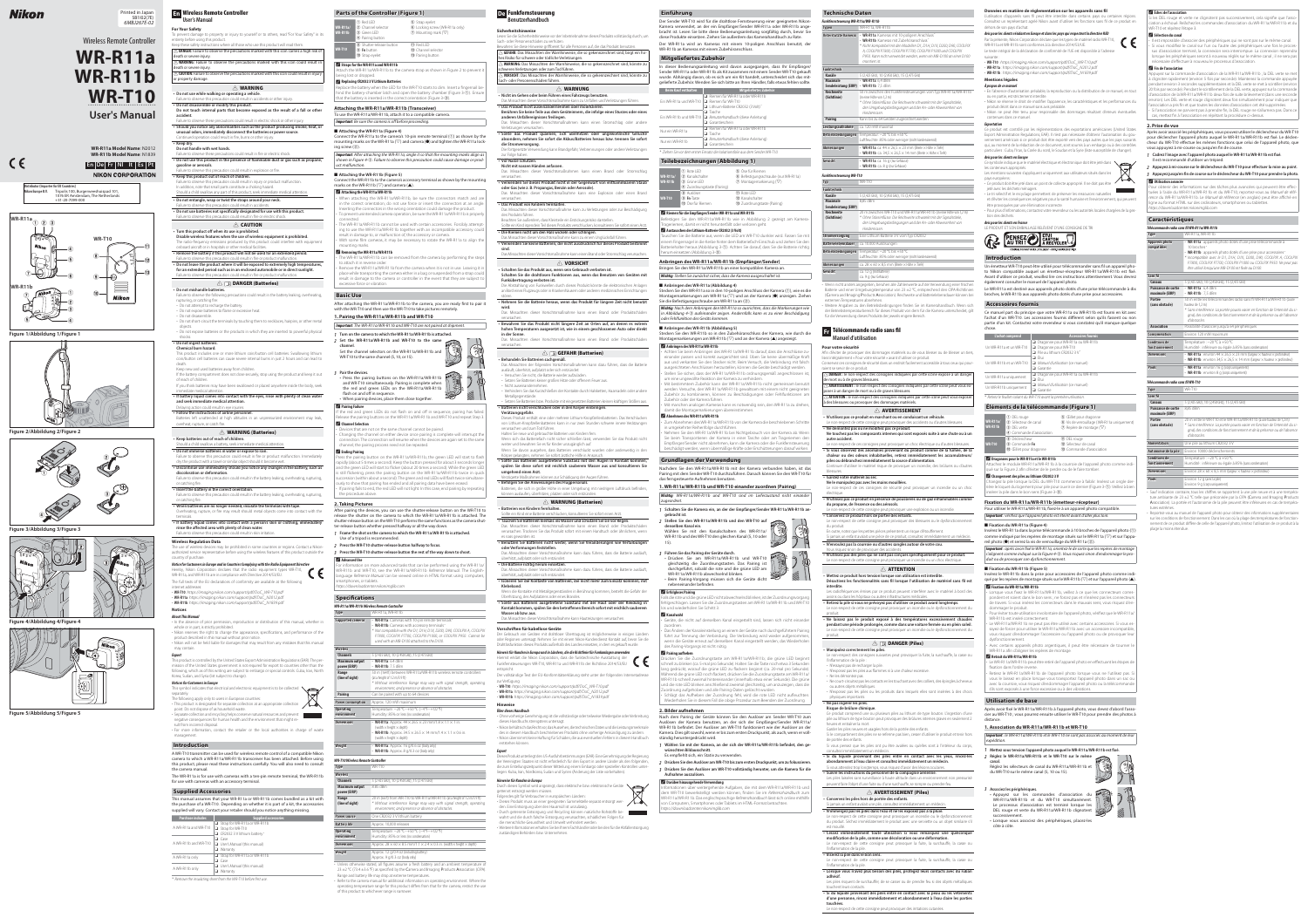# Nikon

 $C \in$ 

### **En Wireless Remote Controller User's Manual**

**For Your Safety** To prevent damage to property or injury to yourself or to others, read "For Your Safety" in its

- **Do not disassemble or modify this product. Do not touch internal parts that become exposed as the result of a fall or other accident.** Failure to observe these precautions could result in electric shock or other injur
- **Should you notice any abnormalities such as the product producing smoke, heat, or unusual odors, immediately disconnect the batteries or power source.** Continued operation could result in fire, burns or other injury.
- **Keep dry. Do not handle with wet hands.**
- Failure to observe these precautions could result in fire or electric shock. **• Do not use this product in the presence of flammable dust or gas such as propane. gasoline or aerosols.**
- Failure to observe this precaution could result in explosion or fi re. **• Keep this product out of reach of children.**
- ailure to observe this precaution could result in injury or product malfunction. In addition, note that small parts constitute a choking hazard.
- Should a child swallow any part of this product, seek immediate medical attention. **• Do not entangle, wrap or twist the straps around your neck.**
- Failure to observe this precaution could result in accide • Do not use batteries not specifically designated for use with this product. Failure to observe this precaution could result in fire or electric shock

entirety before using this product.  $\epsilon$ eep these safety instructions where all those who use this product will read them. A **DANGER:** Failure to observe the precautions marked with this icon carries a high risk of death or severe injury. A **WARNING:** Failure to observe the precautions marked with this icon could result in death or severe injury.  $\Delta$  **CAUTION:** Failure to observe the precautions marked with this icon could result in injury or property damage. A **WARNING**

#### **• Do not use while walking or operating a vehicle.** Failure to observe this precaution could result in accidents or other injury.

#### Failure to observe this precaution could result in fire or product malfunction. A **DANGER (Batteries)**

**• Follow the instructions of airline personnel.** Batteries left unattended at high altitudes in an unpressurized environment may leak, overheat, rupture, or catch fire

# A **CAUTION**

#### or catching fire **• Insert the battery in the correct orientation.**

- **Turn this product off when its use is prohibited. Disable wireless features when the use of wireless equipment is prohibited.** The radio-frequency emissions produced by this product could interfere with equipment
- onboard aircraft or in hospitals or other medical facilities **• Remove the battery if this product will not be used for an extended period.**
- Failure to observe this precaution could result in fire or product malfunction.
- **Do not leave the product where it will be exposed to extremely high temperatures, for an extended period such as in an enclosed automobile or in direct sunlight.**

The use of wireless devices may be prohibited in some countries or regions. Contact a Nikonauthorized service representative before using the wireless features of this product outside the country of purchase.

#### **Notice for Customers in Europe and in Countries Complying with the Radio Equipment Directive** Hereby, Nikon Corporation declares that the radio equipment types WR-T10,

- **Do not mishandle batteries.** Failure to observe the following precautions could result in the battery leaking, overheating, rupturing, or catching fire:
- Do not attempt to recharge the battery.
- Do not expose batteries to flame or excessive heat. - Do not disassemble.
- Do not short-circuit the terminals by touching them to necklaces, hairpins, or other metal objects. - Do not expose batteries or the products in which they are inserted to powerful physical

whole or in part, is strictly prohibited • Nikon reserves the right to change the appearance, specifications, and performance of the product described in this manual without prior notic • Nikon will not be held liable for damages that may result from any mistakes that this manual may contain.

#### shocks. **• Do not ingest batterie Chemical burn hazard.**

- This product includes one or more lithium coin/button cell batteries. Swallowing lithium coin/button cell batteries can cause severe internal burns in just 2 hours and can lead to death.
- Keep new and used batteries away from children. If the battery compartment does not close securely, stop using the product and keep it out of reach of children.
- If you think batteries may have been swallowed or placed anywhere inside the body, seek immediate medical attention. **• If battery liquid comes into contact with the eyes, rinse with plenty of clean water**

- This symbol indicates that electrical and electronic equipment is to be collected  $\searrow$ separately. The following apply only to users in European countries: This product is designated for separate collection at an appropriate collection  $\triangle$ point. Do not dispose of as household waste.
- Separate collection and recycling helps conserve natural resources and prevent
- sult from incorrect disposal.
- management.

#### **and seek immediate medical attention.** Delaying action could result in eye injuries.

## A **WARNING (Batteries)**

- **Keep batteries out of reach of children.** uld a child swallow a battery, seek immediate medical attention.
- **Do not immerse batteries in water or expose to rain.**
- Failure to observe this precaution could result in fire or product malfunction. Immediately dry the product with a towel or similar object should it become wet.
- **Discontinue use immediately should you notice any changes in the battery, such as discoloration or deformation.** Failure to observe this precaution could result in the battery leaking, overheating, rupturing,

- Failure to observe this precaution could result in the battery leaking, overheating, rupturing, or catching fire
- **When batteries are no longer needed, insulate the terminals with tape.** Verheating, rupture, or fire may result should metal objects come into contact with the terminals.
- **If battery liquid comes into contact with a person's skin or clothing, immediately**  rinse the affected area with plenty of clean water. Failure to observe this precaution could result in skin irritation.

### **Wireless Regulation Data**

WR-R11a, and WR-R11b are in compliance with Directive 2014/53/EU. The full texts of the EU declarations of conformity are available at the following internet addresses:

• Press the pairing buttons on the WR-R11a/WR-R11b and WR-T10 simultaneously. Pairing is complete when the red and green LEDs on the WR-R11a/WR-R11b

• **WR-T10**: https://imaging.nikon.com/support/pdf/DoC\_WR-T10.pdf • **WR-R11a**: https://imaging.nikon.com/support/pdf/DoC\_N2012.pdf • **WR-R11b**: https://imaging.nikon.com/support/pdf/DoC\_N1839.pdf

If the red and green LEDs do not flash on and off in sequence, pairing has failed. Release the pairing buttons on the WR-R11a/WR-R11b and WR-T10 and repeat Step 3. A **Channel Selection**

# **Notices**

**About This Manual**

• In the absence of prior permission, reproduction or distribution of this manual, whether in

ress the pairing button on the WR-R11a/WR-R11b; the green LED will start to flash rapidly (about 5 times a second). Keep the button pressed for about 3 seconds longer and the green LED will start to flicker (about 20 times a second). While the green LED still flickering, press the pairing button on the WR-R11a/WR-R11b twice in quick ccession (within about a second). The green and red LEDs will flash twice simultaneously to show that pairing has ended and all pairing data have been erased. • If pairing fails to end, the red LED will not light. In this case, end pairing by repeating

# **Export**

This product is controlled by the United States Export Administration Regulations (EAR). The permission of the United States government is not required for export to countries other than the ollowing, which as of this writing are subject to embargo or special controls: Cuba, Iran, North Korea, Sudan, and Syria (list subject to change).

**Notices for Customers in Europe**

ormation on more advanced tasks that can be performed using the WR-R11a/ WR-R11b and WR-T10, see the WR-R11a/WR-R11b Reference Manual. The Englishlanguage Reference Manual can be viewed online in HTML format using computers, | martphones, or tablets. https://downloadcenter.nikonimglib.com

### **Specifications**

**WR-T10** 

negative consequences for human health and the environment that might re-

• For more information, contact the retailer or the local authorities in charge of waste

# **Introduction**

A WR-T10 transmitter can be used for wireless remote control of a compatible Nikon camera to which a WR-R11a/WR-R11b transceiver has been attached. Before using this product, please read these instructions carefully. You will also need to consult

the camera manual.

### The WR-R11a is for use with cameras with a ten-pin remote terminal, the WR-R11b for use with cameras with an accessory terminal.

**Supplied Accessories** This manual assumes that your WR-R11a or WR-R11b comes bundled as a kit with the purchase of a WR-T10. Depending on whether it is part of a kit, the accessories supplied will vary. Contact your retailer should you notice anything missing. **Purchase includes Supplied accessories**

> • Unless otherwise stated, all figures assume a fresh battery and an ambient temperature of 23  $\pm$ 2 °C (73.4  $\pm$ 3.6 °F) as specified by the Camera and Imaging Products Association (CIPA). Range and battery life may drop at extreme temperatures. • Refer to the camera manual for additional information on operating environment. Where the operating temperature range for this product differs from that for the camera, restrict the use of this product to whichever range is narrower.

**WR-R11a Model Name**: N2012 **WR-R11b Model Name**: N1839 **En De Fr Nl It Es Pt NIKON CORPORATION** 

| A WR-R11a and WR-T10 | $\Box$ Strap for WR-R11a or WR-R11b |
|----------------------|-------------------------------------|
|                      | Strap for WR-T10                    |
|                      | CR2032 3 V lithium battery          |
|                      | $\Box$ Case                         |
| A WR-R11b and WR-T10 | $\Box$ User's Manual (this manual)  |
|                      | $\Box$ Warranty                     |
| A WR-R11a only       | $\Box$ Strap for WR-R11a or WR-R11b |
|                      | $\Box$ Case                         |
| A WR-R11b only       | $\Box$ User's Manual (this manual)  |
|                      | $\Box$ Warranty                     |
|                      |                                     |

\* Remove the insulating sheet from the WR-T10 before first use.

# **Parts of the Controller (Figure 1)**

Das Missachten dieser Vorsichtsmaßnahmen kann einen Brand oder Stromschlag verursachen. • Verwenden Sie dieses Produkt nicht in der Gegenwart von entflammbarem Staub

Das Missachten dieser Vorsichtsmaßnahme kann zu einem Unglücksfall führ **• Verwenden Sie keine Batterien, die nicht ausdrücklich für dieses Produkt bestimmt** 

|                             | (1) Red LED                                                                                                                                                                                                              | 5 Strap eyelet                                                                                                                                                                                                                                                                                                                                                                                                                                                                                           |  |
|-----------------------------|--------------------------------------------------------------------------------------------------------------------------------------------------------------------------------------------------------------------------|----------------------------------------------------------------------------------------------------------------------------------------------------------------------------------------------------------------------------------------------------------------------------------------------------------------------------------------------------------------------------------------------------------------------------------------------------------------------------------------------------------|--|
| <b>WR-R11a/</b><br>WR-R11b  | (2) Channel selector<br>3 Green IFD<br>4 Pairing button                                                                                                                                                                  | <b>6</b> Locking screw (WR-R11a only)<br>$\mathcal{D}$ Mounting mark ( $\nabla$ )                                                                                                                                                                                                                                                                                                                                                                                                                        |  |
|                             | (8) Shutter-release button                                                                                                                                                                                               | $(D)$ Red $ID$                                                                                                                                                                                                                                                                                                                                                                                                                                                                                           |  |
| <b>WR-T10</b>               | (9) Fn button<br><b>10</b> Strap eyelet                                                                                                                                                                                  | 12 Channel selector<br>13 Pairing button                                                                                                                                                                                                                                                                                                                                                                                                                                                                 |  |
|                             | Straps for the WR-R11a and WR-R11b                                                                                                                                                                                       | Attach the WR-R11a/WR-R11b to the camera strap as shown in Figure 2 to prevent it                                                                                                                                                                                                                                                                                                                                                                                                                        |  |
|                             | being lost or dropped.                                                                                                                                                                                                   |                                                                                                                                                                                                                                                                                                                                                                                                                                                                                                          |  |
|                             | Replacing CR2032 3 V Lithium Batteries<br>that the battery is inserted in the correct orientation (Figure 3-3).                                                                                                          | Replace the battery when the LED for the WR-T10 starts to dim. Insert a fingernail be-<br>hind the battery-chamber latch and open the battery chamber (Figure 3-1)). Ensure                                                                                                                                                                                                                                                                                                                              |  |
|                             | Attaching the WR-R11a/WR-R11b (Transceiver)                                                                                                                                                                              |                                                                                                                                                                                                                                                                                                                                                                                                                                                                                                          |  |
|                             | To use the WR-R11a/WR-R11b, attach it to a compatible camera.                                                                                                                                                            |                                                                                                                                                                                                                                                                                                                                                                                                                                                                                                          |  |
|                             | <b>Important:</b> Be sure the camera is off before proceeding.                                                                                                                                                           |                                                                                                                                                                                                                                                                                                                                                                                                                                                                                                          |  |
| ing screw $(\mathcal{Q})$ . |                                                                                                                                                                                                                          | Connect the WR-R11a to the camera's 10-pin remote terminal (1) as shown by the<br>mounting marks on the WR-R11a ( $\nabla$ ) and camera ( $\bullet$ ) and tighten the WR-R11a lock-<br>Important: After attaching the WR-R11a, angle it so that the mounting marks align as                                                                                                                                                                                                                              |  |
| uct malfunction.            |                                                                                                                                                                                                                          | shown in Figure 4-3). Failure to observe this precaution could cause damage or prod-                                                                                                                                                                                                                                                                                                                                                                                                                     |  |
| connected.                  | result in damage to, or malfunction of, the accessory or camera.<br>mounting marks.<br>Removing the WR-R11a/WR-R11b<br>to attach it in reverse order.                                                                    | Inserting the connectors in the wrong orientation could damage the product.<br>• To prevent unintended camera operation, be sure the WR-R11a/WR-R11b is properly<br>• The WR-R11a/WR-R11b cannot be used with certain accessories. Forcibly attempt-<br>ing to use the WR-R11a/WR-R11b together with an incompatible accessory could<br>• With some film cameras, it may be necessary to rotate the WR-R11a to align the<br>• The WR-R11a/WR-R11b can be removed from the camera by performing the steps |  |
|                             | excessive force or vibration.                                                                                                                                                                                            | • Remove the WR-R11a/WR-R11b from the camera when it is not in use. Leaving it in<br>place while transporting the camera either in a bag or suspended from a strap could<br>result in damage to the camera or controller in the event that they are subject to                                                                                                                                                                                                                                           |  |
| <b>Basic Use</b>            |                                                                                                                                                                                                                          |                                                                                                                                                                                                                                                                                                                                                                                                                                                                                                          |  |
|                             |                                                                                                                                                                                                                          | After attaching the WR-R11a/WR-R11b to the camera, you are ready first to pair it                                                                                                                                                                                                                                                                                                                                                                                                                        |  |
|                             |                                                                                                                                                                                                                          | with the WR-T10 and then use the WR-T10 to take pictures remotely.                                                                                                                                                                                                                                                                                                                                                                                                                                       |  |
|                             | 1. Pairing the WR-R11a/WR-R11b and WR-T10                                                                                                                                                                                |                                                                                                                                                                                                                                                                                                                                                                                                                                                                                                          |  |
|                             |                                                                                                                                                                                                                          | <b>Important:</b> The WR-R11a/WR-R11b and WR-T10 are not paired at shipment.                                                                                                                                                                                                                                                                                                                                                                                                                             |  |
| channel.                    | 1 Turn on the camera to which the WR-R11a/WR-R11b is attached.<br>2 Set the WR-R11a/WR-R11b and WR-T10 to the same<br>Set the channel selectors on the WR-R11a/WR-R11b and<br>WR-T10 to the same channel (5, 10, or 15). |                                                                                                                                                                                                                                                                                                                                                                                                                                                                                                          |  |
| 3 Pair the devices.         |                                                                                                                                                                                                                          | $\mathbb{Z}$ $\mathbb{R}^{\mathrm{o}}$                                                                                                                                                                                                                                                                                                                                                                                                                                                                   |  |

**spülen Sie diese sofort mit reichlich sauberem Wasser aus und konsultieren Sie umgehend einen Arzt.** rögerte Maßnahmen können zur Schädigung der Augen führen.

**• Befolgen Sie die Anweisungen des Flugpersonals.** Batterien, die sich in großer Höhe in einer Umgebung mit niedrigem Luftdruck befinden,

e ein Kind eine Batterie verschlucken, konsultieren Sie sofort einen Arz **• Tauchen Sie Batterien niemals ins Wasser und schützen Sie sie vor Regen. vor Regen.** Das Missachten dieser Vorsichtsmaßnahme kann einen Brand oder Produktschäden



**Klebeband.** Wenn die Kontakte mit Metallgegenständen in Berührung kommen, besteht die Gefahr der erhitzung, des Aufplatzens oder eines Brande:

• Devices that are not on the same channel cannot be paired. Changing the channel on either device once pairing is complete will interrupt the connection. The connection will resume when the devices are again set to the same channel; the pairing process need not be repeated.

> Der vollständige Text der EU-Konformitätserklärung steht unter der folgenden Internetadresse zur Verfügung:

A **Ending Pairing**

the procedure above. **2. Taking Pictures**

> Durch dieses Symbol wird angezeigt, dass elektrische bzw. elektronische Geräte getrennt entsorgt werden müssen. Folgendes gilt für Verbraucher in europäischen Ländern: • Dieses Produkt muss an einer geeigneten Sammelstelle separat entsorgt werden. Eine Entsorgung über den Hausmüll ist unzulässig.

After pairing the devices, you can use the shutter-release button on the WR-T10 to release the shutter on the camera to which the WR-R11a/WR-R11b is attached. The shutter-release button on the WR-T10 performs the same functions as the camera shut-

> • Durch getrennte Entsorgung und Recycling können natürliche Rohstoffe bewahrt und die durch falsche Entsorgung verursachten, schädlichen Folgen für

ter-release button whether pressed halfway or all the way down. *1* **Frame the shot on the camera to which the WR-R11a/WR-R11b is attached.**

Use of a tripod is recommended.

*2* **Press the WR-T10 shutter-release button halfway to focus.** *3* **Press the WR-T10 shutter-release button the rest of the way down to shoot.**

# A **Advanced Use**

#### Befestigen Sie den WR-R11a/WR-R11b wie in Abbildung 2 gezeigt am Kamerarageriemen, damit er nicht herunterfällt oder verloren geht.

Tauschen Sie die Batterie aus, wenn die LED am WR-T10 dunkler wird. Fassen Sie mit inem Fingernagel in die Kerbe hinter dem Batteriefach-Einschub und ziehen Sie den Batteriehalter heraus (Abbildung 3-1). Achten Sie darauf, dass Sie die Batterie richtig herum einsetzen (Abbildung 3-@)

|                                            | <b>WR-R11a/WR-R11b Wireless Remote Controller</b>                                                                                                                                                                                                                                          |
|--------------------------------------------|--------------------------------------------------------------------------------------------------------------------------------------------------------------------------------------------------------------------------------------------------------------------------------------------|
| <b>Type</b>                                | WR-R11a, WR-R11b                                                                                                                                                                                                                                                                           |
| <b>Supported cameras</b>                   | • WR-R11a: Cameras with 10-pin remote terminals*<br>• WR-R11b: Cameras with accessory terminals*<br>* Not compatible with the D1, D1H, D1X, D200, D90, COOLPIX A, COOLPIX<br>P7800, COOLPIX P7700, COOLPIX P1000, or COOLPIX P950. Cannot be<br>used with an MB-D100 attached to the D100. |
| <b>Wireless</b>                            |                                                                                                                                                                                                                                                                                            |
| <b>Channels</b>                            | 5 (2.425 GHz), 10 (2.450 GHz), 15 (2.475 GHz)                                                                                                                                                                                                                                              |
| <b>Maximum output</b><br>power (EIRP)      | $\cdot$ WR-R11a: 6.4 dBm<br>$\cdot$ WR-R11b: 7.5 dBm                                                                                                                                                                                                                                       |
| Range<br>(line of sight)<br><b>Pairing</b> | 50 m (164 ft) between WR-R11a/WR-R11b wireless remote controllers<br>(at a height of 1.2 m/3.9 ft)<br>* Without interference. Range may vary with signal strength, operating<br>environment, and presence or absence of obstacles.<br>Can be paired with up to 64 devices                  |
|                                            |                                                                                                                                                                                                                                                                                            |
| <b>Power consumption</b>                   | Approx. 120 mW maximum                                                                                                                                                                                                                                                                     |
| <b>Operating</b><br>environment            | Temperature: -20 °C-+50 °C (-4 °F-+122 °F)<br>Humidity: 85% or less (no condensation)                                                                                                                                                                                                      |
| <b>Dimensions</b>                          | • WR-R11a: Approx. $44 \times 26.5 \times 23$ mm/1.8 $\times$ 1.1 $\times$ 1 in.<br>(width $\times$ height $\times$ depth)<br>• WR-R11b: Approx. 34.5 $\times$ 26.5 $\times$ 14 mm/1.4 $\times$ 1.1 $\times$ 0.6 in.<br>(width $\times$ height $\times$ depth)                             |
| Weight                                     | • WR-R11a: Approx. 16 $q/0.6$ oz (body only)<br>• WR-R11b: Approx. $8 q/0.3 oz$ (body only)                                                                                                                                                                                                |
| <b>WR-T10 Wireless Remote Controller</b>   |                                                                                                                                                                                                                                                                                            |
| <b>Type</b>                                | <b>WR-T10</b>                                                                                                                                                                                                                                                                              |
| <b>Wireless</b>                            |                                                                                                                                                                                                                                                                                            |
| <b>Channels</b>                            | 5 (2.425 GHz), 10 (2.450 GHz), 15 (2.475 GHz)                                                                                                                                                                                                                                              |
| Maximum output<br>power (EIRP)             | 8.85 dBm                                                                                                                                                                                                                                                                                   |
| Range<br>$llima$ of $cinh$                 | 20 m (66 ft) from WR-T10 to WR-R11a/WR-R11b (at a height of 1.2 m/3.9 ft)<br>* Without interference Dance may year, with circal strength proceeding                                                                                                                                        |

Sie die Befestigungsschraube am WR-R11a an (2). **Wichtig**: Nach dem Anbringen den WR-R11a so ausrichten, dass die Markierungen wie<br>in Abbildung 4-③ aufeinander zeigen. Andernfalls kann es zu einer Beschädigung oder Fehlfunktion des Geräts kommen.

Mit manchen analogen Kameras kann es notwendig sein, den WR-R11a zu dreher damit die Montagemarkierungen übereinstimmen. A **Abnehmen des WR-R11a/WR-R11b**

| Range<br>(line of sight)        | 20 m (66 ft) from WR-T10 to WR-R11a/WR-R11b (at a height of 1.2 m/3.9 ft)<br>* Without interference. Range may vary with signal strength, operating<br>environment, and presence or absence of obstacles. |
|---------------------------------|-----------------------------------------------------------------------------------------------------------------------------------------------------------------------------------------------------------|
| <b>Power source</b>             | One CR2032 3 V lithium battery                                                                                                                                                                            |
| Battery life                    | Approx. 10,000 releases                                                                                                                                                                                   |
| <b>Operating</b><br>environment | Temperature: -20 °C-+50 °C (-4 °F-+122 °F)<br>Humidity: 85% or less (no condensation)                                                                                                                     |
| <b>Dimensions</b>               | Approx. $28 \times 60 \times 8.5$ mm/1.1 $\times$ 2.4 $\times$ 0.3 in. (width $\times$ height $\times$ depth)                                                                                             |
| Weight                          | Approx. 12 g/0.4 oz (including battery)<br>Approx. 9 g/0.3 oz (body only)                                                                                                                                 |

*2* **Stellen Sie den WR-R11a/WR-R11b und den WR-T10 auf denselben Kanal ein.** Wählen Sie mit den Kanalschaltern des WR-R11a/ WR-R11b und des WR-T10 den gleichen Kanal (5, 10 oder

- Drücken Sie am WR-R11a/WR-R11b und WR-T10 Kon gleichzeitig die Zuordnungstasten. Das Pairing ist durchgeführt, sobald die rote und die grüne LED am WR-R11a/WR-R11b abwechselnd blinken. • Beim Pairing-Vorgang müssen sich die Geräte dicht nebeneinander befinden.
- A **Erfolgloses Pairing**

die rote und die grüne LED nicht abwechselnd blinken, ist der Zuordnungsvor  $n$ lgeschlagen. Lassen Sie die Zuordnungstasten am WR-R11a/WR-R11b und WR-T10  $\vert$ los und wiederholen Sie Schritt 3.

Printed in Japan SB1I02(7E) 6MBJ267E-02



**Figure 1/Abbildung 1/Figure 1**



• Schlägt das Aufheben der Zuordnung fehl, wird die rote LED nicht aufleuchten. Wiederholen Sie in diesem Fall die obige Prozedur zum Beenden der Zuordnung.



**Figure 5/Abbildung 5/Figure 5**



**Figure 3/Abbildung 3/Figure 3**

**Figure 2/Abbildung 2/Figure 2**





# **Benutzerhandbuch**

**Sicherheitshinweise** Lesen Sie die Sicherheitshinweise vor der Inbetriebnahme dieses Produkts vollständig durch, um

- 1 Wählen Sie mit der Kamera, an der sich der WR-R11a/WR-R11b befindet, den ge**wünschten Bildausschnitt.**
- Es empfiehlt sich, ein Stativ zu verwenden. *2* **Drücken Sie den Auslöser am WR-T10 bis zum ersten Druckpunkt, um zu fokussieren.**
- *3* **Drücken Sie den Auslöser am WR-T10 vollständig herunter, um die Kamera für die Aufnahme auszulösen.**

L'utilisation d'appareils sans fil peut être interdite dans certains pays ou certaines régions. Consultez un représentant agréé Nikon avant d'utiliser les fonctions sans fi l de ce produit en dehors de son pays d'achat.

suivante • **WR-T10** : https://imaging.nikon.com/support/pdf/DoC\_WR-T10.pdf • **WR-R11a** : https://imaging.nikon.com/support/pdf/DoC\_N2012.pdf

Sach- oder Personenschäden zu verhüten. Bewahren Sie diese Hinweise griffbereit für alle Personen auf, die das Produkt benutzen. **A** GEFAHR: Das Missachten der Warnhinweise, die so gekennzeichnet sind, birgt ein hohes Risiko für schwere oder tödliche Verletzungen. A **WARNUNG:** Das Missachten der Warnhinweise, die so gekennzeichnet sind, könnte zu schweren Verletzungen oder zum Tod führen. A **VORSICHT:** Das Missachten der Warnhinweise, die so gekennzeichnet sind, könnte zu Sach- oder Personenschäden führen. A **WARNUNG** *Richt im Gehen oder beim Führen eines Fahrzeugs benutzen.* Das Missachten dieser Vorsichtsmaßnahme kann zu Unfällen und Verletzungen führe **• Das Produkt nicht auseinandernehmen oder modifizieren Berühren Sie keine Teile aus dem Geräteinnern, die infolge eines Sturzes oder eines anderen Unfallereignisses freiliegen.** Das Missachten dieser Vorsichtsmaßnahmen kann einen Stromschlag oder andere Verletzungen verursachen. **• Sollte das Produkt qualmen, sich überhitzen oder ungewöhnliche Gerüche** 

• Nikon se réserve le droit de modifier l'apparence, les caractéristiques et les performances du produit décrit dans ce manuel sans avis préalable. • Nikon ne peut être tenu pour responsable des dommages résultant d'erreurs éventuelles

Ce symbole indique que le matériel électrique et électronique doit être jeté dans les conteneurs appropriés. Les mentions suivantes s'appliquent uniquement aux utilisateurs situés dans les

**absondern, nehmen Sie sofort die Akkus/Batterien heraus bzw. trennen Sie sofort die Stromversorgung.** Die fortgesetzte Verwendung kann Brandgefahr, Verbrennungen oder andere Verletzungen zur Folge haben. **• Vor Nässe schützen.**

**Nicht mit nassen Händen anfassen.** 

**oder Gas (wie z. B. Propangas, Benzin oder Aerosole).** Das Missachten dieser Vorsichtsmaßnahme kann eine Explosion oder einen Brand verursachen.

### **• Das Produkt von Kindern fernhalten.**

Das Missachten dieser Vorsichtsmaßnahme kann zu Verletzungen oder zur Beschädigung des Produkts führen. Beachten Sie außerdem, dass Kleinteile ein Erstickungsrisiko darstellen.

Sollte ein Kind irgendein Teil dieses Produkts verschlucken, konsultieren Sie sofort einen Arzt. **• Die Riemen nicht um den Hals wickeln oder schlingen.**

**sind.**

#### Das Missachten dieser Vorsichtsmaßnahme kann einen Brand oder Stromschlag verursachen. A **VORSICHT**

**• Schalten Sie das Produkt aus, wenn sein Gebrauch verboten ist.** Schalten Sie die drahtlosen Funktionen aus, wenn das Benutzen von Geräten mit **Funkübertragung verboten ist.**

Die Abstrahlung von Funkwellen durch dieses Produkt könnte die elektronischen Anlagen an Bord eines Flugzeugs oder in Krankenhäusern oder anderen medizinischen Einrichtungen stören.

> I orsque vous fixez le WR-R11a/WR-R11b, veillez à ce que les connecteurs correspondent et soient dans le bon sens ; ne forcez pas et n'insérez pas les connecteurs de travers. Si vous insérez les connecteurs dans le mauvais sens, vous risquez d'endommager le produit.

> • Pour éviter toute utilisation involontaire de l'appareil photo, vérifiez que le WR-R11a/

WR-R11b est inséré correctement. Le WR-R11a/WR-R11b ne peut pas être utilisé avec certains accessoires. Si vous es-

**• Nehmen Sie die Batterie heraus, wenn das Produkt für längere Zeit nicht benutzt für wird.** Das Missachten dieser Vorsichtsmaßnahme kann einen Brand oder Produktschäden verursachen.

**• Bewahren Sie das Produkt nicht längere Zeit an Orten auf, an denen es extrem hohen Temperaturen ausgesetzt ist, wie in einem geschlossenen Auto oder direkt in der Sonne.**

> Retirez le WR-R11a/WR-R11b de l'appareil photo lorsque vous ne l'utilisez pas. Si vous le laissez en place lorsque vous transportez l'appareil photo dans un sac ou $\,|\,$ avec la courroie, vous risquez d'endommager l'appareil photo ou la télécommande s'ils sont exposés à une force excessive ou à des vibrations.

Après avoir fixé le WR-R11a/WR-R11b à l'appareil photo, vous devez d'abord l'associer au WR-T10 ; vous pourrez ensuite utiliser le WR-T10 pour prendre des photos à distance.

*Important* : le WR-R11a/WR-R11b et le WR-T10 ne sont pas associés au moment de leur expédition. Mettez sous tension l'appareil photo auquel le WR-R11a/WR-R11b est fixé.

Das Missachten dieser Vorsichtsmaßnahme kann einen Brand oder Produktschäden verursachen.

### A **GEFAHR (Batterien)**

**• Behandeln Sie Batterien sachgemäß.** Das Missachten der folgenden Vorsichtsmaßnahmen kann dazu führen, dass die Batterie

ausläuft, überhitzt, aufplatzt oder sich entzündet: - Versuchen Sie nicht, die Batterie wieder aufzuladen.

- Setzen Sie Batterien keiner großen Hitze oder offenem Feuer au:

- Nicht auseinandernehmen.

Si les DEL rouge et verte ne clignotent pas successivement, cela signifie que l'association a échoué. Relâchez les commandes d'association du WR-R11a/WR-R11b et du WR-T10 et répétez l'étape 3.

Il est impossible d'associer des périphériques qui ne sont pas sur le même canal.

Si vous modifiez le canal sur l'un ou l'autre des périphériques une fois le processus d'association terminé, la connexion sera interrompue. La connexion reprendra lorsque les périphériques seront à nouveau réglés sur le même canal ; il ne sera pas nécessaire d'effectuer à nouveau le processus d'association.

- Verhindern Sie das Kurzschließen der Kontakte durch Halsketten, Haarnadeln oder andere Metallgegenstände.

- Setzen Sie Batterien bzw. Produkte mit eingesetzten Batterien keinen kräftigen Stößen aus. **• Batterien nicht verschlucken oder in den Körper einbringen.**

Appuyez sur la commande d'association de la WR-R11a/WR-R11b ; la DEL verte se met à clignoter rapidement (environ 5 fois par seconde). Maintenez la commande appuyée pendant environ 3 secondes supplémentaires et la DEL verte se met à scintiller (environ .<br>20 fois par seconde). Pendant le scintillement de la DEL verte, appuyez sur la commande 'association de la WR-R11a/WR-R11b deux fois de suite brièvement (dans une seconde environ). Les DEL verte et rouge clignotent deux fois simultanément pour indiquer que association a pris fin et que toutes les données d'association ont été supprimées. • Si l'association ne parvient pas à prendre fin, la DEL rouge ne s'allumera pas. Dans ce

**Verätzungsgefahr.** Dieses Produkt enthält eine oder mehrere Lithium-Knopfzellenbatterien. Das Verschlucken

von Lithium-Knopfzellenbatterien kann in nur zwei Stunden schwere innere Verätzungen verursachen und zum Tod führen.

Halten Sie neue und gebrauchte Batterien von Kindern fern. Wenn sich das Batteriefach nicht sicher schließen lässt, verwenden Sie das Produkt nicht weiter und bewahren Sie es für Kinder unzugänglich auf.

Après avoir associé les périphériques, vous pouvez utiliser le déclencheur du WR-T10 pour déclencher l'appareil photo auquel le WR-R11a/WR-R11b est fixé. Le déclencheur du WR-T10 effectue les mêmes fonctions que celui de l'appareil photo, que vous appuyiez à mi-course ou jusqu'en fin de course.

Wenn Sie davon ausgehen, dass Batterien verschluckt wurden oder anderweitig in den Körper gelangten, nehmen Sie sofort ärztliche Hilfe in Anspruch. **• Sollte aus Batterien ausgetretene Substanz mit den Augen in Kontakt kommen,** 

1 Cadrez l'image avec l'appareil photo auquel le WR-R11a/WR-R11b est fixé. Il est recommandé d'utiliser un trépied.

cas, mettez fin à l'association en répétant la procédure ci-dessus.

2 Appuyez à mi-course sur le déclencheur du WR-T10 pour effectuer la mise au point. <sup>3</sup> Appuyez jusqu'en fin de course sur le déclencheur du WR-T10 pour prendre la photo.

können auslaufen, überhitzen, platzen oder sich entzünden. A **WARNUNG (Batterien)**

**• Batterien von Kindern fernhalten.**

verursachen. Trocknen Sie das Produkt sofort mit einem Handtuch oder ähnlichem, wenn es nass geworden ist. **• Benutzen Sie Batterien nicht weiter, wenn Sie Veränderungen wie Verfärbungen** 

**oder Verformungen feststellen.** Das Missachten dieser Vorsichtsmaßnahme kann dazu führen, dass die Batterie ausläuft, überhitzt, aufplatzt oder sich entzündet.

• Sauf indication contraire, tous les chiffres se rapportent à une pile neuve et à une température ambiante de 23 ±2 °C telle que préconisée par la CIPA (Camera and Imaging Products Association). La portée et l'autonomie de la pile peuvent être inférieures en cas de températures extrêmes.

**• Die Batterie richtig herum einsetzen.** Das Missachten dieser Vorsichtsmaßnahme kann dazu führen, dass die Batterie ausläuft, überhitzt, aufplatzt oder sich entzündet. **• Isolieren Sie die Kontakte von Batterien, die nicht mehr zum Einsatz kommen, mit** 

Reportez-vous au manuel de l'appareil photo pour obtenir des informations supplémentaires sur les conditions de fonctionnement. Dans les cas où la plage des températures de fonctionnement de ce produit diffère de celle de l'appareil photo, limitez l'utilisation de ce produit à la plage la moins étendue.

**• Sollte aus Batterien ausgetretene Substanz mit der Haut oder der Kleidung in**  Kontakt kommen, spülen Sie den betroffenen Bereich sofort mit reichlich sauberem **Wasser ab bzw. aus.**

Das Missachten dieser Vorsichtsmaßnahme kann Hautreizungen verursachen.

**Vorschriften für kabellose Geräte** Der Gebrauch von Geräten mit drahtloser Übertragung ist möglicherweise in einigen Ländern oder Regionen untersagt. Nehmen Sie mit einem Nikon-Kundendienst Kontakt auf, bevor Sie die Drahtlosfunktion dieses Produkts außerhalb des Landes einsetzen, in dem es gekauft wurde.

**Hinweis für Kunden in Europa und in Ländern, die die Richtlinie für Funkanlagen anwenden** Hiermit erklärt die Nikon Corporation, dass die funktechnische Ausstattung der

**Type WR-R11a, WR-R11b Unterstützte Kameras** • **WR-R11a**: Kameras mit 10-poligem Anschluss \* • **WR-R11b**: Kameras mit Zubehöranschluss \*  $N$ icht kompatibel mit den Modellen D1, D1H, D1X, D200, D90, COOLPI $\nu$ A, COOLPIX P7800, COOLPIX P7700, COOLPIX P1000 und COOLPIX P950. Kann nicht verwendet werden, wenn ein MB-D100 an einer D100 mtiert ist. **Funktechnik Kanäle** 5 (2,425 GHz), 10 (2,450 GHz), 15 (2,475 GHz) **Maximale Sendeleistung (EIRP)** • **WR-R11b**: 7,5 dBm • **WR-R11a**: 6,4 dBm **Reichweite (Sichtlinie)** 50 m zwischen den Funkfernsteuerungen vom Typ WR-R11a/WR-R11b (in einer Höhe von 1,2 m) \* Ohne Störeinfl üsse. Die Reichweite schwankt mit der Signalstärke, den Umgebungsbedingungen und der An- oder Abwesenheit von Hindernissen. **Kann bis zu 64 Geräten zugeordnet werden Leistungsaufnahme** ca. 120 mW maximal **Betriebsbedingungen** Temperatur: −20 °C bis +50 °C ftfeuchte: 85% oder weniger (nicht kondensierend) **Abmessungen** • **WR-R11a**: ca.  $44 \times 26.5 \times 23$  mm (Breite  $\times$  Höhe  $\times$  Tiefe) **WR-R11b**: ca.  $34.5 \times 26.5 \times 14$  mm (Breite  $\times$  Höhe  $\times$  Tiefe) **Gewicht** • **WR-R11a**: ca. 16 g (nur Gehäuse) • **WR-R11b**: ca. 8 g (nur Gehäuse) **Funkfernsteuerung WR-T10 Typ** WR-T10 **Funktechnik Kanäle** 5 (2,425 GHz), 10 (2,450 GHz), 15 (2,475 GHz) **Maximale**   $\ddot{\text{s}}$ endeleistu 8,85 dBm **Reichweite (Sichtlinie)** 20 m zwischen WR-T10 und WR-R11a/WR-R11b (in einer Höhe von 1,2 m) \* Ohne Störeinfl üsse. Die Reichweite schwankt mit der Signalstärke, den Umgebungsbedingungen und der An- oder Abwesenheit von Hindernissen. **Stromversorgung** Eine Lithium-Batterie 3 V vom Typ CR2032 **Batterielebensdauer** ca. 10.000 Auslösungen **Betriebsbedingungen** Temperatur: −20 °C bis +50 °C ftfeuchte: 85% oder weniger (nicht kondensierend) **Abmessungen** ca. 28 × 60 × 8,5 mm (Breite × Höhe × Tiefe) **Gewicht** ca. 12 g (mit Batterie) a. 9 g (nur Gehäuse) • Wenn nicht anders angegeben, beruhen alle Zahlenwerte auf der Verwendung einer frischen

Funk fernsteuerungen WR-T10, WR-R11a und WR-R11b der Richtlinie 2014/53/EU entspricht.

Weitere Angaben zu den Betriebsbedingungen finden Sie im Kamerahandbuch. Wenn sich der Betriebstemperaturbereich für dieses Produkt von dem für die Kamera unterscheidet, gilt

Afin d'éviter de provoquer des dommages matériels ou de vous blesser ou de blesser un tiers,

• **WR-T10**: https://imaging.nikon.com/support/pdf/DoC\_WR-T10.pdf • **WR-R11a**: https://imaging.nikon.com/support/pdf/DoC\_N2012.pdf

• **WR-R11b**: https://imaging.nikon.com/support/pdf/DoC\_N1839.pdf

#### **Hinweise Über dieses Handbuch**

• Ohne vorherige Genehmigung ist die vollständige oder teilweise Wiedergabe oder Verbreitung dieses Handbuchs strengstens untersagt. • Nikon behält sich das Recht vor, das Aussehen, die technischen Daten und die Leistungsmerkmale des in diesem Handbuch beschriebenen Produkts ohne vorherige Ankündigung zu ändern. • Nikon übernimmt keine Haftung für Schäden, die aus eventuellen Fehlern in diesem Handbuch entstehen können.

#### **Export**

Le non-respect de ces consignes peut provoquer un choc électrique ou d'autres blessure **• Si vous observez des anomalies provenant du produit comme de la fumée, de la chaleur ou des odeurs inhabituelles, retirez immédiatement les accumulateurs/**

Dieses Produkt unterliegt den US-Ausfuhrbestimmungen (EAR). Eine Genehmigung der Regierung der Vereinigten Staaten ist nicht erforderlich für den Export in andere Länder als den folgenden, die zum Erstellungszeitpunkt dieser Mitteilung einem Embargo oder speziellen Kontrollen unterliegen: Kuba, Iran, Nordkorea, Sudan und Syrien (Änderung der Liste vorbehalten).

### **Hinweise für Kunden in Europa**

• N'utilisez pas des piles qui ne sont pas conçues spécifiquement pour ce produit. Le non-respect de cette consigne peut provoquer un incendie ou un choc électrique. A **ATTENTION**

Désactivez les fonctionnalités sans fil lorsque l'utilisation de matériel sans fil est

die menschliche Gesundheit und Umwelt verhindert werden.

• Weitere Informationen erhalten Sie bei Ihrem Fachhändler oder bei den für die Abfallentsorgung zuständigen Behörden bzw. Unternehmen.

## **Einführung**

Der Sender WR-T10 wird für die drahtlose Fernsteuerung einer geeigneten Nikon-Kamera verwendet, an der ein Empfänger/Sender WR-R11a oder WR-R11b angebracht ist. Lesen Sie bitte diese Bedienungsanleitung sorgfältig durch, bevor Sie diese Produkte einsetzen. Ziehen Sie außerdem das Kamerahandbuch zu Rate. Der WR-R11a wird an Kameras mit einem 10-poligen Anschluss benutzt, der WR-R11b an Kameras mit einem Zubehöranschluss.

**Mitgeliefertes Zubehör**

physiques important: **• Ne pas ingérer les piles. Risque de brûlure chimique.**

|                            | In dieser Bedienungsanleitung wird davon ausgegangen, dass Ihr Empfänger/<br>Sender WR-R11a oder WR-R11b als Kit zusammen mit einem Sender WR-T10 gekauft<br>wurde. Abhängig davon, ob es sich um ein Kit handelt, unterscheidet sich das mit-<br>gelieferte Zubehör. Wenden Sie sich bitte an Ihren Händler, falls etwas fehlen sollte. |
|----------------------------|------------------------------------------------------------------------------------------------------------------------------------------------------------------------------------------------------------------------------------------------------------------------------------------------------------------------------------------|
| <b>Beim Kauf enthalten</b> | Mitgeliefertes Zubehör                                                                                                                                                                                                                                                                                                                   |
| Fin WR-R11a und WR-T10     | Riemen für WR-R11a oder WR-R11b<br>$\Box$ Riemen für WR-T10<br>$\Box$ Lithium-Batterie CR2032 (3 Volt)*                                                                                                                                                                                                                                  |
| Fin WR-R11b und WR-T10     | $\Box$ Tasche<br>Benutzerhandbuch (diese Anleitung)<br>$\Box$ Garantieschein                                                                                                                                                                                                                                                             |
| Nur ein WR-R11a            | □ Riemen für WR-R11a oder WR-R11b<br>$\Box$ Tasche                                                                                                                                                                                                                                                                                       |
| Nur ein WR-R11b            | Benutzerhandbuch (diese Anleitung)<br>$\Box$ Garantieschein                                                                                                                                                                                                                                                                              |
|                            | * Ziehen Sie vor dem ersten Einsatz die Isolationsfolie aus dem Sender WR-T10.                                                                                                                                                                                                                                                           |

### **Teilebezeichnungen (Abbildung 1)**

Si jamais un enfant avalait une pile, consultez immédiatement un médeci **• N'immergez pas les piles dans l'eau et ne les exposez pas à la pluie.**

Le non-respect de cette consigne peut provoquer un incendie ou le dysfonctionnement du produit. Séchez immédiatement le produit avec une serviette ou un objet similaire s'il

| <b>WR-R11a/</b><br>WR-R11b | 1 Rote LED<br>2 Kanalschalter<br>3) Grüne LED<br>4 Zuordnungstaste (Pairing) | (5) Öse für Riemen.<br>6 Befestigungsschraube (nur WR-R11a)<br>$\overline{O}$ Montagemarkierung ( $\overline{\nabla}$ ) |
|----------------------------|------------------------------------------------------------------------------|-------------------------------------------------------------------------------------------------------------------------|
| <b>WR-T10</b>              | 8) Auslöser<br>(9) Fn-Taste<br>10 Öse für Riemen                             | 11 Rote LED<br>12 Kanalschalter<br>13 Zuordnungstaste (Pairing)                                                         |

# A **Riemen für die Empfänger/Sender WR-R11a und WR-R11b**

l'inflammation de la pile **• Insérez la pile dans le bon sens.**

l'inflammation de la pile

### A **Austauschen der Lithium-Batterie CR2032 (3 Volt)**

#### **Anbringen des WR-R11a/WR-R11b (Empfänger/Sender)** Bringen Sie den WR-R11a/WR-R11b an einer kompatiblen Kamera an.

*Wichtig*: Stellen Sie zunächst sicher, dass die Kamera ausgeschaltet ist.

#### ■ **Anbringen des WR-R11a (Abbildung 4)** Stecken Sie den WR-R11a so in den 10-poligen Anschluss der Kamera (①), wie es die Montagemarkierungen am WR-R11a ( $\overline{\nabla}$ ) und an der Kamera ( $\bullet$ ) anzeigen. Ziehen

### ■ **Anbringen des WR-R11b (Abbildung 5)**

Stecken Sie den WR-R11b so in den Zubehöranschluss der Kamera, wie durch die Montagemarkierungen am WR-R11b ( $\nabla$ ) und an der Kamera ( $\triangle$ ) angezeigt. A **Anbringen des WR-R11a/WR-R11b**

- Achten Sie beim Anbringen des WR-R11a/WR-R11b darauf, dass die Anschlüsse zueinander passen und korrekt ausgerichtet sind. Üben Sie keine übermäßige Kraft aus und verkanten Sie den Stecker nicht. Beim Versuch, die Verbindung mit falsch ausgerichteten Anschlüssen herzustellen, können die Geräte beschädigt werden. • Stellen Sie sicher, dass der WR-R11a/WR-R11b ordnungsgemäß angeschlossen ist, um eine ungewollte Reaktion der Kamera zu verhindern.
- Mit bestimmtem Zubehör kann der WR-R11a/WR-R11b nicht gemeinsam benutzt werden. Versuche, den WR-R11a/WR-R11b gewaltsam mit einem nicht geeigneten Zubehör zu kombinieren, können zu Beschädigungen oder Fehlfunktionen am Zubehör oder der Kamera führen.

• Zum Abnehmen des WR-R11a/WR-R11b von der Kamera die beschriebenen Schritte in umgekehrter Reihenfolge durchführen.

• Nehmen Sie den WR-R11a/WR-R11b bei Nichtgebrauch von der Kamera ab. Wenn Sie beim Transportieren der Kamera in einer Tasche oder am Trageriemen den Empfänger/Sender nicht abnehmen, kann die Kamera oder die Funkfernsteuerung beschädigt werden, wenn übermäßige Kräfte oder Erschütterungen darauf wirken.

### **Grundlagen der Verwendung**

Nachdem Sie den WR-R11a/WR-R11b mit der Kamera verbunden haben, ist das Pairing mit dem Sender WR-T10 durchzuführen. Danach können Sie den WR-T10 für das ferngesteuerte Aufnehmen benutzen.

**1. WR-R11a/WR-R11b und WR-T10 einander zuordnen (Pairing)**

*Wichtig*: WR-R11a/WR-R11b und WR-T10 sind im Lieferzustand nicht einander zugeordnet. *1* **Schalten Sie die Kamera ein, an der der Empfänger/Sender WR-R11a/WR-R11b an-**

**gebracht ist.**

15). *3* **Führen Sie das Pairing der Geräte durch.**

A **Kanalwahl**

• Geräte, die nicht auf denselben Kanal eingestellt sind, lassen sich nicht einander zuordnen. • Das Ändern der Kanaleinstellung an einem der Geräte nach durchgeführtem Pairing

führt zur Trennung der Verbindung. Die Verbindung wird wieder aufgenommen, wenn die Geräte erneut auf denselben Kanal eingestellt werden; das Wiederholen des Pairing-Vorgangs ist nicht nötig. A **Pairing aufheben**

Drücken Sie die Zuordnungstaste am WR-R11a/WR-R11b; die grüne LED beginnt hnell zu blinken (ca. 5-mal pro Sekunde). Halten Sie die Taste noch etwa 3 Sekunden lang gedrückt, worauf die grüne LED zu flackern beginnt (ca. 20-mal pro Sekunde). Während die grüne LED noch flackert, drücken Sie die Zuordnungstaste am WR-R11a/ WR-R11b schnell zweimal hintereinander (innerhalb etwa einer Sekunde). Die grüne und die rote LED blinken anschließend zweimal gleichzeitig, um anzuzeigen, dass die Zuordnung aufgehoben und alle Pairing-Daten gelöscht wurden.

## **2. Bilder aufnehmen**

Nach dem Pairing der Geräte können Sie den Auslöser am Sender WR-T10 zum Auslösen der Kamera benutzen, an der sich der Empfänger/Sender WR-R11a/ WR-R11b befindet. Der Auslöser am WR-T10 funktioniert wie der Auslöser an der Kamera. Dies gilt sowohl, wenn er bis zum ersten Druckpunkt, als auch, wenn er vollständig heruntergedrückt wird.

A **Darüber hinausgehende Verwendung** nformationen über weitergehende Aufgaben, die mit dem WR-R11a/WR-R11b und dem WR-T10 bewerkstelligt werden können, finden Sie im Referenzhandbuch zum WR-R11a/WR-R11b. Das englischsprachige Referenzhandbuch lässt sich online mithilfe von Computern, Smartphones oder Tablets im HTML-Format betrachten. https://downloadcenter.nikonimglib.com

#### **Données en matière de réglementation sur les appareils sans fi l**

#### **Avis pour les clients résidant en Europe et dans les pays qui respectent la directive RED** Par la présente, Nikon Corporation déclare que les types de matériel radio WR-T10, WR-R11a et WR-R11b sont conformes à la directive 2014/53/UE. Le texte intégral de la déclaration de conformité de l'UE est disponible à l'adresse

• **WR-R11b** : https://imaging.nikon.com/support/pdf/DoC\_N1839.pdf

#### **Mentions légales À propos de ce manuel**

• En l'absence d'autorisation préalable, la reproduction ou la distribution de ce manuel, en tout ou en partie, est strictement interdite.

#### contenues dans ce manuel. **Exportation**

Ce produit est contrôlé par les réglementations des exportations américaines (United States Export Administration Regulations, EAR). Il n'est pas nécessaire d'obtenir l'autorisation du gouvernement américain si ce produit doit être exporté vers des pays autres que les pays suivants qui, au moment de la rédaction de ce document, sont soumis à un embargo ou à des contrôles particuliers : Cuba, l'Iran, la Corée du nord, le Soudan et la Syrie (liste susceptible de changer).

### **Avis pour les clients en Europe**

pays européens : • Ce produit doit être jeté dans un point de collecte approprié. Il ne doit pas être

jeté avec les déchets ménagers. • Le tri sélectif et le recyclage permettent de préserver les ressources naturelles

et d'éviter les conséquences négatives pour la santé humaine et l'environnement, qui peuvent être provoquées par une élimination incorrecte. • Pour plus d'informations, contactez votre revendeur ou les autorités locales chargées de la ges-

tion des déchets. **Avis pour les clients en France**



### **Introduction**

Un émetteur WR-T10 peut être utilisé pour télécommander sans fi l un appareil photo Nikon compatible auquel un émetteur-récepteur WR-R11a/WR-R11b est fixé. Avant d'utiliser ce produit, veuillez lire ces instructions attentivement. Vous devrez également consulter le manuel de l'appareil photo.

Le WR-R11a est destiné aux appareils photo dotés d'une prise télécommande à dix broches, le WR-R11b aux appareils photo dotés d'une prise pour accessoires.

### **Accessoires fournis**

Ce manuel part du principe que votre WR-R11a ou WR-R11b est fourni en kit avec l'achat d'un WR-T10. Les accessoires fournis diffèrent selon qu'ils fassent ou non partie d'un kit. Contactez votre revendeur si vous constatez qu'il manque quelque

chose.

| L'achat comprend        | <b>Accessoires fournis</b>                                                                                   |
|-------------------------|--------------------------------------------------------------------------------------------------------------|
| Un WR-R11a et un WR-T10 | $\Box$ Dragonne pour WR-R11a ou WR-R11b<br>$\Box$ Dragonne pour WR-T10<br>$\Box$ Pile au lithium CR2032 3 V* |
| Un WR-R11b et un WR-T10 | □ Étui<br>$\Box$ Manuel d'utilisation (ce manuel)<br>$\Box$ Garantie                                         |
| Un WR-R11a uniquement   | $\Box$ Dragonne pour WR-R11a ou WR-R11b<br>□ Étui                                                            |
| Un WR-R11b uniquement   | $\Box$ Manuel d'utilisation (ce manuel)<br>$\Box$ Garantie                                                   |

\* Retirez le feuillet isolant du WR-T10 avant la première utilisation.

### **Éléments de la télécommande (Figure 1)**

| <b>WR-R11a/</b><br>WR-R11b | 1 DEL rouge<br>2 Sélecteur de canal<br>3) DEL verte<br>4 Commande d'association | 5 Œillet pour dragonne<br>6 Vis de verrouillage (WR-R11a uniquement)<br>$\overline{O}$ Repère de montage ( $\overline{\nabla}$ ) |
|----------------------------|---------------------------------------------------------------------------------|----------------------------------------------------------------------------------------------------------------------------------|
| <b>WR-T10</b>              | 8 Déclencheur<br>9) Commande <b>Fn</b><br>10 Œillet pour dragonne               | 11 DEL rouge<br>12 Sélecteur de canal<br>13 Commande d'association                                                               |
|                            | <b><i>●</i></b> Dragonnes pour le WR-R11a et le WR-R11b                         | Attachez le module WR-R11a/WR-R11b à la courroie de l'appareil photo comme indi-                                                 |

### é sur la Figure 2 afin d'éviter de le perdre ou de le faire tomber.

A **Changement des piles au lithium CR2032 3 V** Changez la pile lorsque la DEL du WR-T10 commence à faiblir. Insérez un ongle derrière le loquet du logement pour pile pour ouvrir ce dernier (Figure 3-q). Veillez à bien

### **Fixation du WR-R11a/WR-R11b (émetteur-récepteur)**

sens (Figure 3-@).

Pour utiliser le WR-R11a/WR-R11b, fixez-le à un appareil photo compatible.

**Iortant** : vérifiez que l'appareil photo est éteint avant d'aller plus loin. ■ **Fixation du WR-R11a (Figure 4)** 

Insérez le WR-R11a dans la prise télécommande à 10 broches de l'appareil photo (1) comme indiqué par les repères de montage situés sur le WR-R11a ( $\triangledown$ ) et sur l'appareil photo (●) et serrez la vis de verrouillage du WR-R11a (2)

**Important** : après avoir fixé le WR-R11a, orientez-le de sorte que les repères de montage s'alignent comme indiqué sur la Figure 4- $@$ . Vous risquez sinon d'endommager le pro-

duit ou de provoquer son dysfonctionnement.

### ■ **Fixation du WR-R11b (Figure 5)**

Insérez le WR-R11b dans la prise pour accessoires de l'appareil photo comme indiqué par les repères de montage situés sur le WR-R11b ( $\nabla$ ) et sur l'appareil photo ( $\blacktriangle$ ). A **Fixation du WR-R11a/WR-R11b**

sayez de forcer pour utiliser le WR-R11a/WR-R11b avec un accessoire incompatible, vous risquez d'endommager l'accessoire ou l'appareil photo ou de provoquer leur dysfonctionnement.

Avec certains appareils photo argentiques, il peut être nécessaire de tourner le WR-R11a afin d'aligner les repères de montage.

#### A **Retrait du WR-R11a/WR-R11b**

Le WR-R11a/WR-R11b peut être retiré de l'appareil photo en effectuant les étapes de fixation dans l'ordre inverse.

#### **Utilisation de base**

# **1. Association du WR-R11a/WR-R11b et WR-T10**

*2* **Réglez le WR-R11a/WR-R11b et le WR-T10 sur le même canal.** Réglez les sélecteurs de canal du WR-R11a/WR-R11b et

# du WR-T10 sur le même canal (5, 10 ou 15).

*3* **Associez les périphériques.**

• Appuyez sur les commandes d'association du WR-R11a/WR-R11b et du WR-T10 simultanément. Le processus d'association est terminé lorsque les DEL rouge et verte du WR-R11a/WR-R11b clignotent

successivement. • Lorsque vous associez des périphériques, placez-les côte à côte.



A **Sélection du canal**

#### A **Fin de l'association**

#### **2. Prise de vue**

A **Utilisation avancée** our obtenir des informations sur des tâches plus avancées qui peuvent être effectuées à l'aide du WR-R11a/WR-R11b et du WR-T10, reportez-vous au Manuel de référence du WR-R11a/WR-R11b. Le Manuel de référence (en anglais) peut être affiché en l ligne au format HTML sur des ordinateurs, smartphones ou tablettes.

#### **Caractéristiques**

tps://downloadcenter.nikonimglib.com

|                                               | Télécommande radio sans fil WR-R11a/WR-R11b                                                                                                                                                                                                                                                                                                    |
|-----------------------------------------------|------------------------------------------------------------------------------------------------------------------------------------------------------------------------------------------------------------------------------------------------------------------------------------------------------------------------------------------------|
| <b>Type</b>                                   | WR-R11a, WR-R11b                                                                                                                                                                                                                                                                                                                               |
| <b>Appareils photo</b><br>compatibles         | • WR-R11a : appareils photo dotés d'une prise télécommande à<br>10 broches'<br>• WR-R11b : appareils photo dotés d'une prise pour accessoires*<br>* Incompatible avec le D1, D1H, D1X, D200, D90, COOLPIX A, COOLPIX<br>P7800, COOLPIX P7700, COOLPIX P1000 ou COOLPIX P950. Ne peut pas<br>être utilisé lorsqu'une MB-D100 est fixée au D100. |
| Sans fil                                      |                                                                                                                                                                                                                                                                                                                                                |
| Canaux                                        | 5 (2,425 GHz), 10 (2,450 GHz), 15 (2,475 GHz)                                                                                                                                                                                                                                                                                                  |
| <b>Puissance de sortie</b><br>maximale (EIRP) | $\cdot$ WR-R11a: 6,4 dBm<br>$\cdot$ WR-R11b : 7,5 dBm                                                                                                                                                                                                                                                                                          |
| Portée<br>(sans obstacle)                     | 50 m entre les télécommandes radio sans fil WR-R11a/WR-R11b (à une<br>hauteur de 1,2 m)<br>* Sans interférence. La portée pourra varier en fonction de l'intensité du si-<br>gnal, des conditions de fonctionnement et de la présence ou de l'absence<br>d'obstacles.                                                                          |
| <b>Association</b>                            | Possibilité d'associer jusqu'à 64 périphériques                                                                                                                                                                                                                                                                                                |
| <b>Consommation</b>                           | Environ 120 mW maximum                                                                                                                                                                                                                                                                                                                         |
| <b>Conditions de</b><br>fonctionnement        | Température : - 20 °C à +50 °C<br>Humidité : inférieure ou égale à 85% (sans condensation)                                                                                                                                                                                                                                                     |
| <b>Dimensions</b>                             | • WR-R11a : environ 44 $\times$ 26,5 $\times$ 23 mm (largeur $\times$ hauteur $\times$ profondeur)<br>• WR-R11b: environ 34,5 $\times$ 26,5 $\times$ 14 mm (largeur $\times$ hauteur $\times$ profondeur)                                                                                                                                      |
| <b>Poids</b>                                  | • WR-R11a : environ 16 g (corps uniquement)<br>• WR-R11b: environ $8q$ (corps uniquement)                                                                                                                                                                                                                                                      |
| Télécommande radio sans fil WR-T10            |                                                                                                                                                                                                                                                                                                                                                |
| <b>Type</b>                                   | <b>WR-T10</b>                                                                                                                                                                                                                                                                                                                                  |
| Sans fil                                      |                                                                                                                                                                                                                                                                                                                                                |
| Canaux                                        | 5 (2,425 GHz), 10 (2,450 GHz), 15 (2,475 GHz)                                                                                                                                                                                                                                                                                                  |
| <b>Puissance de sortie</b><br>maximale (EIRP) | 8,85 dBm                                                                                                                                                                                                                                                                                                                                       |
| Portée<br>(sans obstacle)                     | 20 m entre le WR-T10 et le WR-R11a/WR-R11b (à une hauteur de 1,2 m)<br>* Sans interférence. La portée pourra varier en fonction de l'intensité du si-<br>qnal, des conditions de fonctionnement et de la présence ou de l'absence<br>d'obstacles.                                                                                              |
| <b>Alimentation</b>                           | Une pile au lithium CR2032 3 V                                                                                                                                                                                                                                                                                                                 |
| Autonomie de la pile                          | Environ 10000 déclenchements                                                                                                                                                                                                                                                                                                                   |
| <b>Conditions de</b><br>fonctionnement        | Température : -20 °C à +50 °C<br>Humidité : inférieure ou égale à 85% (sans condensation)                                                                                                                                                                                                                                                      |
| <b>Dimensions</b>                             | Environ 28 $\times$ 60 $\times$ 8,5 mm (largeur $\times$ hauteur $\times$ profondeur)                                                                                                                                                                                                                                                          |
| <b>Poids</b>                                  | Environ 12 g (avec la pile)<br>Environ 9 g (corps uniquement)                                                                                                                                                                                                                                                                                  |
|                                               | Sauf indication contraire tous les chiffres se rapportant à une pile neuve et à une tempéra-                                                                                                                                                                                                                                                   |

**Technische Daten Funkfernsteuerung WR-R11a/WR-R11b**

Batterie und einer Umgebungstemperatur von 23 ±2 °C, entsprechend den CIPA-Richtlinien (Camera and Imaging Products Association). Reichweite und Batterielebensdauer können bei

für die Verwendung dieses Produkts der jeweils engere Bereich.

**Fr Télécommande radio sans fi l Manuel d'utilisation**

**Pour votre sécurité**

lisez intégralement « Pour votre sécurité » avant d'utiliser ce produit.

Conservez ces consignes de sécurité dans un endroit facilement accessible à tous ceux qui pour-

raient se servir de ce produit.

A **DANGER :** le non-respect des consignes indiquées par cette icône expose à un danger

de mort ou à de graves blessures.

A **AVERTISSEMENT :** le non-respect des consignes indiquées par cette icône peut vous ex-

poser à un danger de mort ou à de graves blessures.

A **ATTENTION :** le non-respect des consignes indiquées par cette icône peut vous exposer

à des blessures ou provoquer des dommages matériels.

• Ne démontez pas ou ne modifiez pas ce produit.

A **AVERTISSEMENT**

**• N'utilisez pas ce produit en marchant ou en conduisant un véhicule.**

Le non-respect de cette consigne peut provoquer des accidents ou d'autres blessures.

**Ne touchez pas les composants internes qui sont exposés suite à une chute ou à un** 

**autre accident.**

**piles ou débranchez immédiatement la source d'alimentation.**

extremen Temperaturen abnehmer

Continuer d'utiliser le matériel risque de provoquer un incendie, des brûlures ou d'autres

blessures.

**• Gardez votre matériel au sec.**

**Ne le manipulez pas avec les mains mouillées.**

Le non-respect de ces consignes de sécurité peut provoquer un incendie ou un choc

**• N'utilisez pas ce produit en présence de poussières ou de gaz inflammables comme** 

Le non-respect de cette consigne peut provoquer des blessures ou le dysfonctionnement

Si jamais un enfant avalait une pièce de ce produit, consultez immédiatement un médecir

électrique.

**du propane, de l'essence ou des aérosols.**

'ous risquez sinon de provoquer des accident

Le non-respect de cette consigne peut provoquer une explosion ou un incendie.

En outre, notez que les petites pièces présentent un risque d'étouffement.

**• Conservez ce produit hors de portée des enfants.**

du produit.

**• N'enroulez pas la courroie ou d'autres sangles autour de votre cou.**

**• Mettez ce produit hors tension lorsque son utilisation est interdite.**

**interdite.**

Les radiofréquences émises par ce produit peuvent interférer avec le matériel à bord des

avions ou dans les hôpitaux ou autres infrastructures médicales.

N'exposez pas les piles aux flammes ni à une chaleur excessive.

**• Retirez la pile si vous ne prévoyez pas d'utiliser ce produit avant longtemps.** Le non-respect de cette consigne peut provoquer un incendie ou le dysfonctionnement du

produit.

**• Ne laissez pas le produit exposé à des températures excessivement chaudes pendant une période prolongée, comme dans une voiture fermée ou en plein soleil.** Le non-respect de cette consigne peut provoquer un incendie ou le dysfonctionnement du

produit.

A **DANGER (Piles)**

Le non-respect des consignes suivantes peut provoquer la fuite, la surchauffe, la casse ou

**• Manipulez correctement les piles.**

l'inflammation de la pile - N'essayez pas de recharger la pile

- Ne les démontez pas.

- Ne court-circuitez pas les contacts en les touchant avec des colliers, des épingles à cheveux

N'exposez pas les piles ou les produits dans lesquels elles sont insérées à des chocs

ou autres objets métalliques.

eures et entraîner la mort.

nsultez immédiatement un médecin.

Ce produit comprend une ou plusieurs piles au lithium de type bouton. L'ingestion d'une pile au lithium de type bouton peut provoquer des brûlures internes graves en seulement 2

Garder les piles neuves et usagées hors de la portée des enfants.

Si le compartiment des piles ne se referme pas bien, cesser d'utiliser le produit et tenir hors

de portée des enfants.

Si vous pensez que les piles ont pu être avalées ou qu'elles sont à l'intérieur du corps,

**• Si du liquide provenant des piles entre en contact avec les yeux, rincez-les** 

**abondamment à l'eau claire et consultez immédiatement un médecin.** Si vous attendez trop longtemps, vous risquez d'avoir des lésions oculaires. **• Suivre les instructions du personnel de la compagnie aérienne.**

Les piles laissées sans surveillance à haute altitude dans un environnement non pressurisé peuvent faire l'obiet d'une fuite ou d'une surchauffe, se rompre ou prendre feu. A **AVERTISSEMENT (Piles)**

**• Conservez les piles hors de portée des enfants.**

est mouillé.

**• Cessez immédiatement toute utilisation si vous remarquez une quelconque quelconque** 

Le non-respect de cette consigne peut provoquer la fuite, la surchauffe, la casse ou

Le non-respect de cette consigne peut provoquer la fuite, la surchauffe, la casse ou

**modifi cation de la pile, comme une décoloration ou une déformation. déformation.**

**• Lorsque vous n'avez plus besoin des piles, protégez leurs contacts avec du ruban** 

Les piles risquent de surchauffer, de se casser ou de prendre feu si des objets métalliques

**adhésif.**

touchent leurs contacts.

**• Si du liquide provenant des piles entre en contact avec la peau ou les vêtements d'une personne, rincez immédiatement et abondamment à l'eau claire les parties abondamment** 

**touchées.** 

Le non-respect de cette consigne peut provoquer des irritations cutanées.